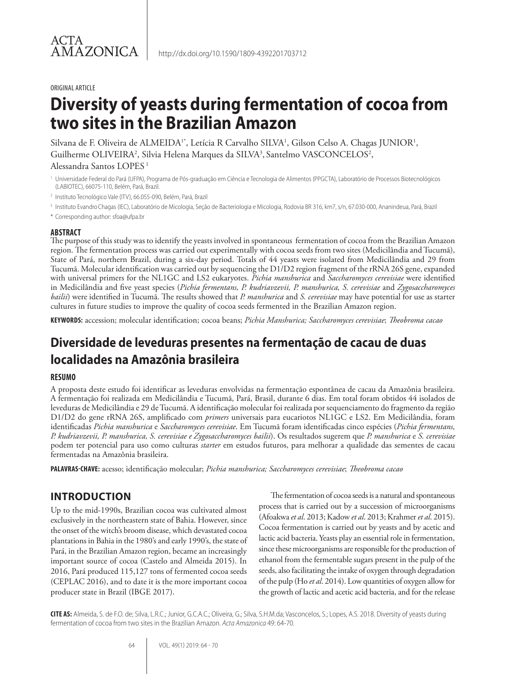#### ORIGINAL ARTICLE

# **Diversity of yeasts during fermentation of cocoa from two sites in the Brazilian Amazon**

Silvana de F. Oliveira de ALMEIDA<sup>1\*</sup>, Letícia R Carvalho SILVA<sup>1</sup>, Gilson Celso A. Chagas JUNIOR<sup>1</sup>, Guilherme OLIVEIRA<sup>2</sup>, Silvia Helena Marques da SILVA<sup>3</sup>, Santelmo VASCONCELOS<sup>2</sup>,

## Alessandra Santos LOPES 1

- <sup>1</sup> Universidade Federal do Pará (UFPA), Programa de Pós-graduação em Ciência e Tecnologia de Alimentos (PPGCTA), Laboratório de Processos Biotecnológicos (LABIOTEC), 66075-110, Belém, Pará, Brazil.
- <sup>2</sup> Instituto Tecnológico Vale (ITV), 66.055-090, Belém, Pará, Brazil
- <sup>3</sup> Instituto EvandroChagas (IEC), Laboratório de Micologia, Seção de Bacteriologia e Micologia, Rodovia BR 316, km7, s/n, 67.030-000, Ananindeua, Pará, Brazil
- \* Corresponding author: sfoa@ufpa.br

#### **ABSTRACT**

The purpose of this study was to identify the yeasts involved in spontaneous fermentation of cocoa from the Brazilian Amazon region. The fermentation process was carried out experimentally with cocoa seeds from two sites (Medicilândia and Tucumã), State of Pará, northern Brazil, during a six-day period. Totals of 44 yeasts were isolated from Medicilândia and 29 from Tucumã. Molecular identification was carried out by sequencing the D1/D2 region fragment of the rRNA 26S gene, expanded with universal primers for the NL1GC and LS2 eukaryotes. *Pichia manshurica* and *Saccharomyces cerevisiae* were identified in Medicilândia and five yeast species (*Pichia fermentans, P. kudriavzevii, P. manshurica, S. cerevisiae* and *Zygosaccharomyces bailii*) were identified in Tucumã. The results showed that *P. manshurica* and *S. cerevisiae* may have potential for use as starter cultures in future studies to improve the quality of cocoa seeds fermented in the Brazilian Amazon region.

**KEYWORDS:** accession; molecular identification; cocoa beans; *Pichia Manshurica; Saccharomyces cerevisiae*; *Theobroma cacao* 

## **Diversidade de leveduras presentes na fermentação de cacau de duas localidades na Amazônia brasileira**

## **RESUMO**

A proposta deste estudo foi identificar as leveduras envolvidas na fermentação espontânea de cacau da Amazônia brasileira. A fermentação foi realizada em Medicilândia e Tucumã, Pará, Brasil, durante 6 dias. Em total foram obtidos 44 isolados de leveduras de Medicilândia e 29 de Tucumã. A identificação molecular foi realizada por sequenciamento do fragmento da região D1/D2 do gene rRNA 26S, amplificado com *primers* universais para eucariotos NL1GC e LS2. Em Medicilândia, foram identificadas *Pichia manshurica* e *Saccharomyces cerevisiae*. Em Tucumã foram identificadas cinco espécies (*Pichia fermentans, P. kudriavzevii, P. manshurica, S. cerevisiae e Zygosaccharomyces bailii*). Os resultados sugerem que *P. manshurica* e *S. cerevisiae* podem ter potencial para uso como culturas *starter* em estudos futuros, para melhorar a qualidade das sementes de cacau fermentadas na Amazônia brasileira.

**PALAVRAS-CHAVE:** acesso; identificação molecular; *Pichia manshurica; Saccharomyces cerevisiae*; *Theobroma cacao* 

## **INTRODUCTION**

Up to the mid-1990s, Brazilian cocoa was cultivated almost exclusively in the northeastern state of Bahia. However, since the onset of the witch's broom disease, which devastated cocoa plantations in Bahia in the 1980's and early 1990's, the state of Pará, in the Brazilian Amazon region, became an increasingly important source of cocoa (Castelo and Almeida 2015). In 2016, Pará produced 115,127 tons of fermented cocoa seeds (CEPLAC 2016), and to date it is the more important cocoa producer state in Brazil (IBGE 2017).

The fermentation of cocoa seeds is a natural and spontaneous process that is carried out by a succession of microorganisms (Afoakwa *et al*. 2013; Kadow *et al*. 2013; Krahmer *et al*. 2015). Cocoa fermentation is carried out by yeasts and by acetic and lactic acid bacteria. Yeasts play an essential role in fermentation, since these microorganisms are responsible for the production of ethanol from the fermentable sugars present in the pulp of the seeds, also facilitating the intake of oxygen through degradation of the pulp (Ho *et al*. 2014). Low quantities of oxygen allow for the growth of lactic and acetic acid bacteria, and for the release

**CITE AS:** Almeida, S. de F.O. de; Silva, L.R.C.; Junior, G.C.A.C.; Oliveira, G.; Silva, S.H.M.da; Vasconcelos, S.; Lopes, A.S. 2018. Diversity of yeasts during fermentation of cocoa from two sites in the Brazilian Amazon. *Acta Amazonica* 49: 64-70.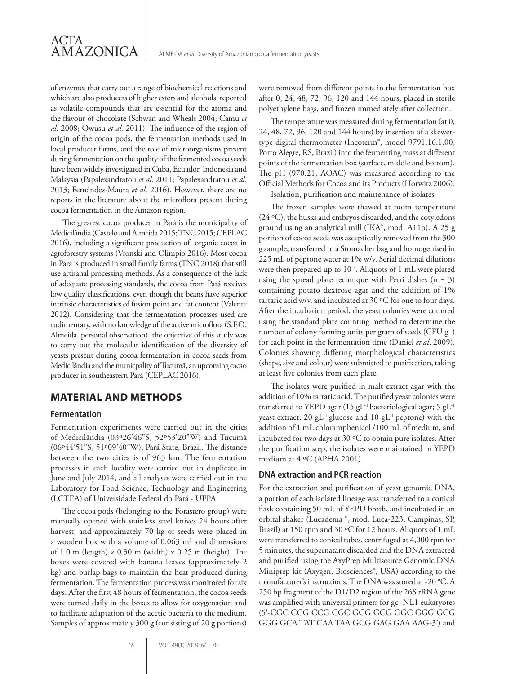of enzymes that carry out a range of biochemical reactions and which are also producers of higher esters and alcohols, reported as volatile compounds that are essential for the aroma and the flavour of chocolate (Schwan and Wheals 2004; Camu *et al*. 2008; Owusu *et al*. 2011). The influence of the region of origin of the cocoa pods, the fermentation methods used in local producer farms, and the role of microorganisms present during fermentation on the quality of the fermented cocoa seeds have been widely investigated in Cuba, Ecuador, Indonesia and Malaysia (Papalexandratou *et al*. 2011; Papalexandratou *et al.* 2013; Fernández-Maura *et al*. 2016). However, there are no reports in the literature about the microflora present during cocoa fermentation in the Amazon region.

The greatest cocoa producer in Pará is the municipality of Medicilândia (Castelo and Almeida 2015; TNC 2015; CEPLAC 2016), including a significant production of organic cocoa in agroforestry systems (Vronski and Olimpio 2016). Most cocoa in Pará is produced in small family farms (TNC 2018) that still use artisanal processing methods. As a consequence of the lack of adequate processing standards, the cocoa from Pará receives low quality classifications, even though the beans have superior intrinsic characteristics of fusion point and fat content (Valente 2012). Considering that the fermentation processes used are rudimentary, with no knowledge of the active microflora (S.F.O. Almeida, personal observation), the objective of this study was to carry out the molecular identification of the diversity of yeasts present during cocoa fermentation in cocoa seeds from Medicilândia and the municpality of Tucumã, an upcoming cacao producer in southeastern Pará (CEPLAC 2016).

## **MATERIAL AND METHODS**

#### **Fermentation**

Fermentation experiments were carried out in the cities of Medicilândia (03º26'46"S, 52º53'20"W) and Tucumã (06º44'51"S, 51º09'40"W), Pará State, Brazil. The distance between the two cities is of 963 km. The fermentation processes in each locality were carried out in duplicate in June and July 2014, and all analyses were carried out in the Laboratory for Food Science, Technology and Engineering (LCTEA) of Universidade Federal do Pará - UFPA.

The cocoa pods (belonging to the Forastero group) were manually opened with stainless steel knives 24 hours after harvest, and approximately 70 kg of seeds were placed in a wooden box with a volume of  $0.063 \text{ m}^3$  and dimensions of 1.0 m (length)  $\times$  0.30 m (width)  $\times$  0.25 m (height). The boxes were covered with banana leaves (approximately 2 kg) and burlap bags to maintain the heat produced during fermentation. The fermentation process was monitored for six days. After the first 48 hours of fermentation, the cocoa seeds were turned daily in the boxes to allow for oxygenation and to facilitate adaptation of the acetic bacteria to the medium. Samples of approximately 300 g (consisting of 20 g portions)

were removed from different points in the fermentation box after 0, 24, 48, 72, 96, 120 and 144 hours, placed in sterile polyethylene bags, and frozen immediately after collection.

The temperature was measured during fermentation (at 0, 24, 48, 72, 96, 120 and 144 hours) by insertion of a skewertype digital thermometer (Incoterm®, model 9791.16.1.00, Porto Alegre, RS, Brazil) into the fermenting mass at different points of the fermentation box (surface, middle and bottom). The pH (970.21, AOAC) was measured according to the Official Methods for Cocoa and its Products (Horwitz 2006).

Isolation, purification and maintenance of isolates

The frozen samples were thawed at room temperature (24 ºC), the husks and embryos discarded, and the cotyledons ground using an analytical mill (IKA®, mod. A11b). A 25 g portion of cocoa seeds was asceptically removed from the 300 g sample, transferred to a Stomacher bag and homogenised in 225 mL of peptone water at 1% w/v. Serial decimal dilutions were then prepared up to 10<sup>-7</sup>. Aliquots of 1 mL were plated using the spread plate technique with Petri dishes  $(n = 3)$ containing potato dextrose agar and the addition of 1% tartaric acid w/v, and incubated at 30 ºC for one to four days. After the incubation period, the yeast colonies were counted using the standard plate counting method to determine the number of colony forming units per gram of seeds (CFU g-1) for each point in the fermentation time (Daniel *et al*. 2009). Colonies showing differing morphological characteristics (shape, size and colour) were submitted to purification, taking at least five colonies from each plate.

The isolates were purified in malt extract agar with the addition of 10% tartaric acid. The purified yeast colonies were transferred to YEPD agar (15 gL-1 bacteriological agar; 5 gL-1 yeast extract; 20  $gL^{-1}$  glucose and 10  $gL^{-1}$  peptone) with the addition of 1 mL chloramphenicol /100 mL of medium, and incubated for two days at 30 ºC to obtain pure isolates. After the purification step, the isolates were maintained in YEPD medium at 4 ºC (APHA 2001).

#### **DNA extraction and PCR reaction**

For the extraction and purification of yeast genomic DNA, a portion of each isolated lineage was transferred to a conical flask containing 50 mL of YEPD broth, and incubated in an orbital shaker (Lucadema ®, mod. Luca-223, Campinas, SP, Brazil) at 150 rpm and 30 ºC for 12 hours. Aliquots of 1 mL were transferred to conical tubes, centrifuged at 4,000 rpm for 5 minutes, the supernatant discarded and the DNA extracted and purified using the AxyPrep Multisource Genomic DNA Miniprep kit (Axygen, Biosciences®, USA) according to the manufacturer's instructions. The DNA was stored at -20 °C. A 250 bp fragment of the D1/D2 region of the 26S rRNA gene was amplified with universal primers for gc- NL1 eukaryotes (5′-CGC CCG CCG CGC GCG GCG GGC GGG GCG GGG GCA TAT CAA TAA GCG GAG GAA AAG-3′) and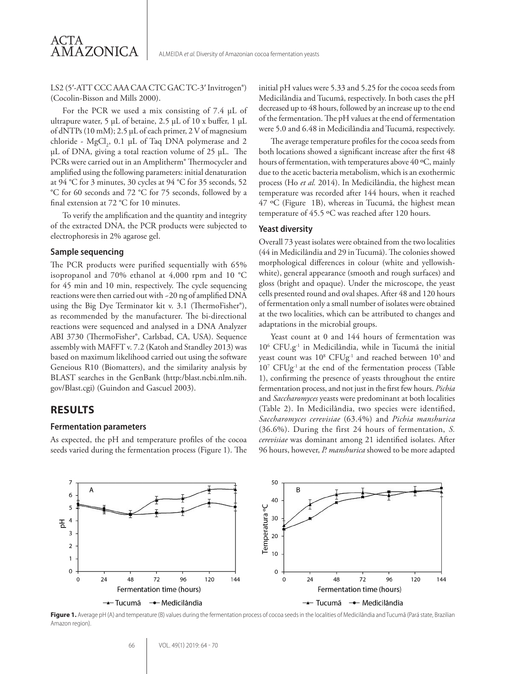#### LS2 (5′-ATT CCC AAA CAA CTC GAC TC-3′ Invitrogen®) (Cocolin-Bisson and Mills 2000).

For the PCR we used a mix consisting of 7.4 µL of ultrapure water, 5 µL of betaine, 2.5 µL of 10 x buffer, 1 µL of dNTPs (10 mM); 2.5 µL of each primer, 2 V of magnesium chloride -  $MgCl_2$ , 0.1 µL of Taq DNA polymerase and 2 µL of DNA, giving a total reaction volume of 25 µL. The PCRs were carried out in an Amplitherm® Thermocycler and amplified using the following parameters: initial denaturation at 94 °C for 3 minutes, 30 cycles at 94 °C for 35 seconds, 52 °C for 60 seconds and 72 °C for 75 seconds, followed by a final extension at 72 °C for 10 minutes.

To verify the amplification and the quantity and integrity of the extracted DNA, the PCR products were subjected to electrophoresis in 2% agarose gel.

#### **Sample sequencing**

ACTA

AMAZONICA

The PCR products were purified sequentially with 65% isopropanol and 70% ethanol at 4,000 rpm and 10 °C for 45 min and 10 min, respectively. The cycle sequencing reactions were then carried out with ~20 ng of amplified DNA using the Big Dye Terminator kit v. 3.1 (ThermoFisher®), as recommended by the manufacturer. The bi-directional reactions were sequenced and analysed in a DNA Analyzer ABI 3730 (ThermoFisher®, Carlsbad, CA, USA). Sequence assembly with MAFFT v. 7.2 (Katoh and Standley 2013) was based on maximum likelihood carried out using the software Geneious R10 (Biomatters), and the similarity analysis by BLAST searches in the GenBank (http:/blast.ncbi.nlm.nih. gov/Blast.cgi) (Guindon and Gascuel 2003).

#### **RESULTS**

#### **Fermentation parameters**

As expected, the pH and temperature profiles of the cocoa seeds varied during the fermentation process (Figure 1). The initial pH values were 5.33 and 5.25 for the cocoa seeds from Medicilândia and Tucumã, respectively. In both cases the pH decreased up to 48 hours, followed by an increase up to the end of the fermentation. The pH values at the end of fermentation were 5.0 and 6.48 in Medicilândia and Tucumã, respectively.

The average temperature profiles for the cocoa seeds from both locations showed a significant increase after the first 48 hours of fermentation, with temperatures above 40 ºC, mainly due to the acetic bacteria metabolism, which is an exothermic process (Ho *et al.* 2014). In Medicilândia, the highest mean temperature was recorded after 144 hours, when it reached 47 ºC (Figure 1B), whereas in Tucumã, the highest mean temperature of 45.5 ºC was reached after 120 hours.

#### **Yeast diversity**

Overall 73 yeast isolates were obtained from the two localities (44 in Medicilândia and 29 in Tucumã). The colonies showed morphological differences in colour (white and yellowishwhite), general appearance (smooth and rough surfaces) and gloss (bright and opaque). Under the microscope, the yeast cells presented round and oval shapes. After 48 and 120 hours of fermentation only a small number of isolates were obtained at the two localities, which can be attributed to changes and adaptations in the microbial groups.

Yeast count at 0 and 144 hours of fermentation was 106 CFU.g-1 in Medicilândia, while in Tucumã the initial yeast count was  $10^8$  CFUg<sup>-1</sup> and reached between  $10^5$  and 107 CFUg-1 at the end of the fermentation process (Table 1), confirming the presence of yeasts throughout the entire fermentation process, and not just in the first few hours. *Pichia* and *Saccharomyces* yeasts were predominant at both localities (Table 2). In Medicilândia, two species were identified, *Saccharomyces cerevisiae* (63.4%) and *Pichia manshurica* (36.6%). During the first 24 hours of fermentation, *S. cerevisiae* was dominant among 21 identified isolates. After 96 hours, however, *P. manshurica* showed to be more adapted



Figure 1. Average pH (A) and temperature (B) values during the fermentation process of cocoa seeds in the localities of Medicilândia and Tucumã (Pará state, Brazilian Amazon region)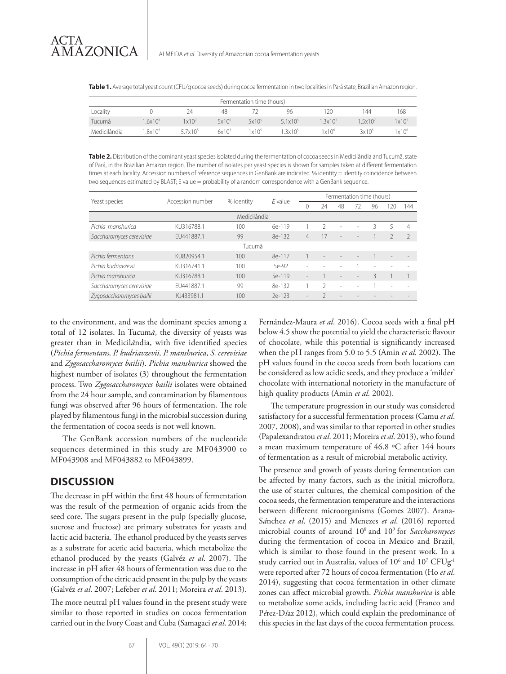**Table 1.** Average total yeast count (CFU/g cocoa seeds) during cocoa fermentation in two localities in Pará state, Brazilian Amazon region.

| Fermentation time (hours) |                    |                     |                   |                   |                     |                     |                    |                   |  |  |
|---------------------------|--------------------|---------------------|-------------------|-------------------|---------------------|---------------------|--------------------|-------------------|--|--|
| Locality                  |                    | 24                  | 48                |                   | 96                  | 120                 | 144                | 168               |  |  |
| Tucumã                    | $.6x10^{8}$        | 1x10 <sup>7</sup>   | 5x10 <sup>6</sup> | 5x10 <sup>5</sup> | $5.1 \times 10^{5}$ | 1.3x10 <sup>7</sup> | .5x10 <sup>7</sup> | 1x10 <sup>7</sup> |  |  |
| Medicilândia              | .8x10 <sup>6</sup> | $5.7 \times 10^{5}$ | $6x10^3$          | $1 \times 10^5$   | $3x10^5$            | $1\times10^6$       | 3x10 <sup>6</sup>  | 1x10 <sup>6</sup> |  |  |

**Table 2.** Distribution of the dominant yeast species isolated during the fermentation of cocoa seeds in Medicilândia and Tucumã, state of Pará, in the Brazilian Amazon region. The number of isolates per yeast species is shown for samples taken at different fermentation times at each locality. Accession numbers of reference sequences in GenBank are indicated. % identity = identity coincidence between two sequences estimated by BLAST; E value = probability of a random correspondence with a GenBank sequence.

|                          | Accession number | % identity | E value  | Fermentation time (hours) |                |                          |                          |                          |                          |                |  |  |
|--------------------------|------------------|------------|----------|---------------------------|----------------|--------------------------|--------------------------|--------------------------|--------------------------|----------------|--|--|
| Yeast species            |                  |            |          | Λ                         | 24             | 48                       | 72                       | 96                       | 120                      | 144            |  |  |
| Medicilândia             |                  |            |          |                           |                |                          |                          |                          |                          |                |  |  |
| Pichia manshurica        | KU316788.1       | 100        | $6e-119$ |                           |                |                          |                          | ζ                        | 5                        | $\overline{4}$ |  |  |
| Saccharomyces cerevisiae | FU441887.1       | 99         | 8e-132   | $\overline{4}$            | 17             | $\overline{\phantom{a}}$ |                          |                          |                          |                |  |  |
| Tucumã                   |                  |            |          |                           |                |                          |                          |                          |                          |                |  |  |
| Pichia fermentans        | KU820954.1       | 100        | 8e-117   |                           |                |                          |                          |                          |                          |                |  |  |
| Pichia kudriavzevii      | KU316741.1       | 100        | 5e-92    |                           |                |                          |                          | $\overline{\phantom{0}}$ |                          |                |  |  |
| Pichia manshurica        | KU316788.1       | 100        | 5e-119   |                           |                |                          | $\overline{\phantom{a}}$ | $\overline{\mathcal{L}}$ |                          |                |  |  |
| Saccharomyces cerevisiae | FU441887.1       | 99         | 8e-132   |                           | $\mathfrak{I}$ | $\overline{\phantom{a}}$ |                          |                          | $\overline{\phantom{a}}$ |                |  |  |
| Zygosaccharomyces bailii | KJ433981.1       | 100        | $2e-123$ |                           |                |                          |                          |                          |                          |                |  |  |

to the environment, and was the dominant species among a total of 12 isolates. In Tucum*ã*, the diversity of yeasts was greater than in Medicil*â*ndia, with five identified species (*Pichia fermentans, P. kudriavzevii, P. manshurica, S. cerevisiae*  and *Zygosaccharomyces bailii*). *Pichia manshurica* showed the highest number of isolates (3) throughout the fermentation process. Two *Zygosaccharomyces bailii* isolates were obtained from the 24 hour sample, and contamination by filamentous fungi was observed after 96 hours of fermentation. The role played by filamentous fungi in the microbial succession during the fermentation of cocoa seeds is not well known.

The GenBank accession numbers of the nucleotide sequences determined in this study are MF043900 to MF043908 and MF043882 to MF043899.

## **DISCUSSION**

The decrease in pH within the first 48 hours of fermentation was the result of the permeation of organic acids from the seed core. The sugars present in the pulp (specially glucose, sucrose and fructose) are primary substrates for yeasts and lactic acid bacteria. The ethanol produced by the yeasts serves as a substrate for acetic acid bacteria, which metabolize the ethanol produced by the yeasts (Galvéz *et al*. 2007). The increase in pH after 48 hours of fermentation was due to the consumption of the citric acid present in the pulp by the yeasts (Galvéz *et al*. 2007; Lefeber *et al*. 2011; Moreira *et al*. 2013).

The more neutral pH values found in the present study were similar to those reported in studies on cocoa fermentation carried out in the Ivory Coast and Cuba (Samagaci *et al*. 2014;

67 VOL. 49(1) 2019: 64 - 70

Fernández-Maura *et al*. 2016). Cocoa seeds with a final pH below 4.5 show the potential to yield the characteristic flavour of chocolate, while this potential is significantly increased when the pH ranges from 5.0 to 5.5 (Amin *et al.* 2002). The pH values found in the cocoa seeds from both locations can be considered as low acidic seeds, and they produce a 'milder' chocolate with international notoriety in the manufacture of high quality products (Amin *et al*. 2002).

The temperature progression in our study was considered satisfactory for a successful fermentation process (Camu *et al*. 2007, 2008), and was similar to that reported in other studies (Papalexandratou *et al*. 2011; Moreira *et al*. 2013), who found a mean maximum temperature of 46.8 ºC after 144 hours of fermentation as a result of microbial metabolic activity.

The presence and growth of yeasts during fermentation can be affected by many factors, such as the initial microflora, the use of starter cultures, the chemical composition of the cocoa seeds, the fermentation temperature and the interactions between different microorganisms (Gomes 2007). Arana-S*á*nchez *et al*. (2015) and Menezes *et al*. (2016) reported microbial counts of around 108 and 109 for *Saccharomyces* during the fermentation of cocoa in Mexico and Brazil, which is similar to those found in the present work. In a study carried out in Australia, values of  $10^6$  and  $10^7$  CFUg<sup>-1</sup> were reported after 72 hours of cocoa fermentation (Ho *et al*. 2014), suggesting that cocoa fermentation in other climate zones can affect microbial growth. *Pichia manshurica* is able to metabolize some acids, including lactic acid (Franco and P*é*rez-D*í*az 2012), which could explain the predominance of this species in the last days of the cocoa fermentation process.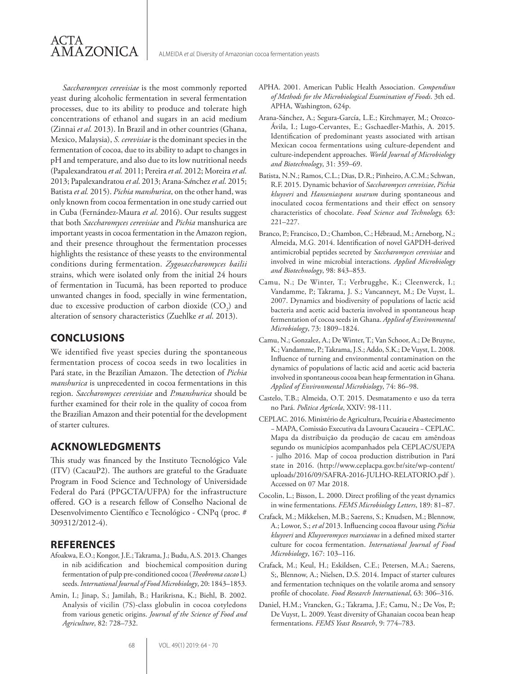*Saccharomyces cerevisiae* is the most commonly reported yeast during alcoholic fermentation in several fermentation processes, due to its ability to produce and tolerate high concentrations of ethanol and sugars in an acid medium (Zinnai *et al.* 2013). In Brazil and in other countries (Ghana, Mexico, Malaysia), *S. cerevisiae* is the dominant species in the fermentation of cocoa, due to its ability to adapt to changes in pH and temperature, and also due to its low nutritional needs (Papalexandratou *et al.* 2011; Pereira *et al*. 2012; Moreira *et al*. 2013; Papalexandratou *et al*. 2013; Arana-S*á*nchez *et al*. 2015; Batista *et al.* 2015). *Pichia manshurica*, on the other hand, was only known from cocoa fermentation in one study carried out in Cuba (Fernández-Maura *et al*. 2016). Our results suggest that both *Saccharomyces cerevisiae* and *Pichia* manshurica are important yeasts in cocoa fermentation in the Amazon region, and their presence throughout the fermentation processes highlights the resistance of these yeasts to the environmental conditions during fermentation. *Zygosaccharomyces bailii*  strains, which were isolated only from the initial 24 hours of fermentation in Tucumã, has been reported to produce unwanted changes in food, specially in wine fermentation, due to excessive production of carbon dioxide  $(CO_2)$  and alteration of sensory characteristics (Zuehlke *et al*. 2013).

## **CONCLUSIONS**

ACTA

AMAZONICA

We identified five yeast species during the spontaneous fermentation process of cocoa seeds in two localities in Pará state, in the Brazilian Amazon. The detection of *Pichia manshurica* is unprecedented in cocoa fermentations in this region. *Saccharomyces cerevisiae* and *P.manshurica* should be further examined for their role in the quality of cocoa from the Brazilian Amazon and their potential for the development of starter cultures.

## **ACKNOWLEDGMENTS**

This study was financed by the Instituto Tecnológico Vale (ITV) (CacauP2). The authors are grateful to the Graduate Program in Food Science and Technology of Universidade Federal do Pará (PPGCTA/UFPA) for the infrastructure offered. GO is a research fellow of Conselho Nacional de Desenvolvimento Científico e Tecnológico - CNPq (proc. # 309312/2012-4).

#### **REFERENCES**

- Afoakwa, E.O.; Kongor, J.E.; Takrama, J.; Budu, A.S. 2013. Changes in nib acidification and biochemical composition during fermentation of pulp pre-conditioned cocoa (*Theobroma cacao* L) seeds. *International Journal of Food Microbiology*, 20: 1843–1853.
- Amin, I.; Jinap, S.; Jamilah, B.; Harikrisna, K.; Biehl, B. 2002. Analysis of vicilin (7S)-class globulin in cocoa cotyledons from various genetic origins. *Journal of the Science of Food and Agriculture*, 82: 728–732.
- APHA. 2001. American Public Health Association. *Compendiun of Methods for the Microbiological Examination of Foods*. 3th ed. APHA, Washington, 624p.
- Arana-Sánchez, A.; Segura-García, L.E.; Kirchmayer, M.; Orozco-Ávila, I.; Lugo-Cervantes, E.; Gschaedler-Mathis, A. 2015. Identification of predominant yeasts associated with artisan Mexican cocoa fermentations using culture-dependent and culture-independent approaches. *World Journal of Microbiology and Biotechnology*, 31: 359–69.
- Batista, N.N.; Ramos, C.L.; Dias, D.R.; Pinheiro, A.C.M.; Schwan, R.F. 2015. Dynamic behavior of *Saccharomyces cerevisiae*, *Pichia kluyveri* and *Hanseniaspora uvarum* during spontaneous and inoculated cocoa fermentations and their effect on sensory characteristics of chocolate. *Food Science and Technology,* 63: 221–227.
- Branco, P.; Francisco, D.; Chambon, C.; Hébraud, M.; Arneborg, N.; Almeida, M.G. 2014. Identification of novel GAPDH-derived antimicrobial peptides secreted by *Saccharomyces cerevisiae* and involved in wine microbial interactions. *Applied Microbiology and Biotechnology*, 98: 843–853.
- Camu, N.; De Winter, T.; Verbrugghe, K.; Cleenwerck, I.; Vandamme, P.; Takrama, J. S.; Vancanneyt, M.; De Vuyst, L. 2007. Dynamics and biodiversity of populations of lactic acid bacteria and acetic acid bacteria involved in spontaneous heap fermentation of cocoa seeds in Ghana. *Applied of Environmental Microbiology*, 73: 1809–1824.
- Camu, N.; Gonzalez, A.; De Winter, T.; Van Schoor, A.; De Bruyne, K.; Vandamme, P.; Takrama, J.S.; Addo, S.K.; De Vuyst, L. 2008. Influence of turning and environmental contamination on the dynamics of populations of lactic acid and acetic acid bacteria involved in spontaneous cocoa bean heap fermentation in Ghana. *Applied of Environmental Microbiology*, 74: 86–98.
- Castelo, T.B.; Almeida, O.T. 2015. Desmatamento e uso da terra no Pará. *Pol*í*tica Agr*í*cola*, XXIV: 98-111.
- CEPLAC. 2016. Ministério de Agricultura, Pecuária e Abastecimento − MAPA, Comissão Executiva da Lavoura Cacaueira − CEPLAC. Mapa da distribuição da produção de cacau em amêndoas segundo os municípios acompanhados pela CEPLAC/SUEPA - julho 2016. Map of cocoa production distribution in Pará state in 2016. (http://www.ceplacpa.gov.br/site/wp-content/ uploads/2016/09/SAFRA-2016-JULHO-RELATORIO.pdf ). Accessed on 07 Mar 2018.
- Cocolin, L.; Bisson, L. 2000. Direct profiling of the yeast dynamics in wine fermentations. *FEMS Microbiology Letters*, 189: 81–87.
- Crafack, M.; Mikkelsen, M.B.; Saerens, S.; Knudsen, M.; Blennow, A.; Lowor, S.; *et al* 2013. Influencing cocoa flavour using *Pichia kluyveri* and *Kluyveromyces marxianus* in a defined mixed starter culture for cocoa fermentation. *International Journal of Food Microbiology*, 167: 103–116.
- Crafack, M.; Keul, H.; Eskildsen, C.E.; Petersen, M.A.; Saerens, S;, Blennow, A.; Nielsen, D.S. 2014. Impact of starter cultures and fermentation techniques on the volatile aroma and sensory profile of chocolate. *Food Research International*, 63: 306–316.
- Daniel, H.M.; Vrancken, G.; Takrama, J.F.; Camu, N.; De Vos, P.; De Vuyst, L. 2009. Yeast diversity of Ghanaian cocoa bean heap fermentations. *FEMS Yeast Research*, 9: 774–783.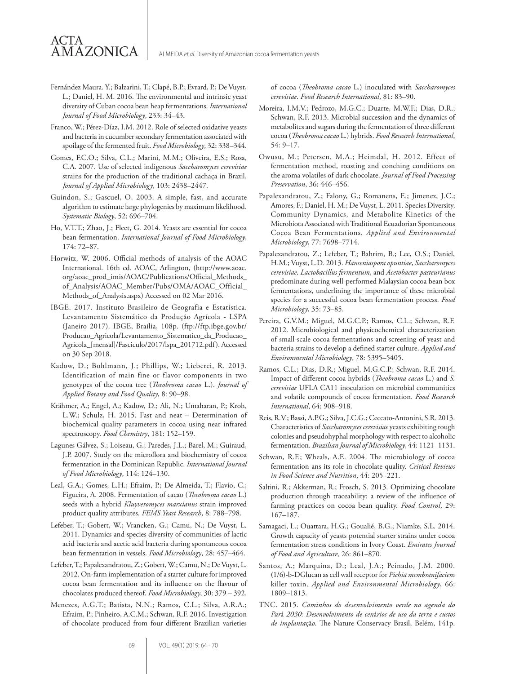Fernández Maura. Y.; Balzarini, T.; Clapé, B.P.; Evrard, P.; De Vuyst, L.; Daniel, H. M. 2016. The environmental and intrinsic yeast diversity of Cuban cocoa bean heap fermentations. *International Journal of Food Microbiology*, 233: 34–43.

ACTA

**AMAZONICA** 

- Franco, W.; Pérez-Díaz, I.M. 2012. Role of selected oxidative yeasts and bacteria in cucumber secondary fermentation associated with spoilage of the fermented fruit. *Food Microbiology*, 32: 338–344.
- Gomes, F.C.O.; Silva, C.L.; Marini, M.M.; Oliveira, E.S.; Rosa, C.A. 2007. Use of selected indigenous *Saccharomyces cerevisiae*  strains for the production of the traditional cachaça in Brazil. *Journal of Applied Microbiology*, 103: 2438–2447.
- Guindon, S.; Gascuel, O. 2003. A simple, fast, and accurate algorithm to estimate large phylogenies by maximum likelihood. *Systematic Biology*, 52: 696–704.
- Ho, V.T.T.; Zhao, J.; Fleet, G. 2014. Yeasts are essential for cocoa bean fermentation. *International Journal of Food Microbiology*, 174: 72–87.
- Horwitz, W. 2006. Official methods of analysis of the AOAC International. 16th ed. AOAC, Arlington, (http://www.aoac. org/aoac\_prod\_imis/AOAC/Publications/Official\_Methods\_ of\_Analysis/AOAC\_Member/Pubs/OMA/AOAC\_Official\_ Methods\_of\_Analysis.aspx) Accessed on 02 Mar 2016.
- IBGE. 2017. Instituto Brasileiro de Geografia e Estatística. Levantamento Sistemático da Produção Agrícola - LSPA (Janeiro 2017). IBGE, Braília, 108p. (ftp://ftp.ibge.gov.br/ Producao\_Agricola/Levantamento\_Sistematico\_da\_Producao\_ Agricola\_[mensal]/Fasciculo/2017/lspa\_201712.pdf). Accessed on 30 Sep 2018.
- Kadow, D.; Bohlmann, J.; Phillips, W.; Lieberei, R. 2013. Identification of main fine or flavor components in two genotypes of the cocoa tree (*Theobroma cacao* L.). *Journal of Applied Botany and Food Quality*, 8: 90–98.
- Krähmer, A.; Engel, A.; Kadow, D.; Ali, N.; Umaharan, P.; Kroh, L.W.; Schulz, H. 2015. Fast and neat – Determination of biochemical quality parameters in cocoa using near infrared spectroscopy. *Food Chemistry*, 181: 152–159.
- Lagunes Gálvez, S.; Loiseau, G.; Paredes, J.L.; Barel, M.; Guiraud, J.P. 2007. Study on the microflora and biochemistry of cocoa fermentation in the Dominican Republic. *International Journal of Food Microbiology*, 114: 124–130.
- Leal, G.A.; Gomes, L.H.; Efraim, P.; De Almeida, T.; Flavio, C.; Figueira, A. 2008. Fermentation of cacao (*Theobroma cacao* L.) seeds with a hybrid *Kluyveromyces marxianus* strain improved product quality attributes. *FEMS Yeast Research*, 8: 788–798.
- Lefeber, T.; Gobert, W.; Vrancken, G.; Camu, N.; De Vuyst, L. 2011. Dynamics and species diversity of communities of lactic acid bacteria and acetic acid bacteria during spontaneous cocoa bean fermentation in vessels. *Food Microbiology*, 28: 457–464.
- Lefeber, T.; Papalexandratou, Z.; Gobert, W.; Camu, N.; De Vuyst, L. 2012. On-farm implementation of a starter culture for improved cocoa bean fermentation and its influence on the flavour of chocolates produced thereof. *Food Microbiology*, 30: 379 – 392.
- Menezes, A.G.T.; Batista, N.N.; Ramos, C.L.; Silva, A.R.A.; Efraim, P.; Pinheiro, A.C.M.; Schwan, R.F. 2016. Investigation of chocolate produced from four different Brazilian varieties

of cocoa (*Theobroma cacao* L.) inoculated with *Saccharomyces cerevisiae*. *Food Research International*, 81: 83–90.

- Moreira, I.M.V.; Pedrozo, M.G.C.; Duarte, M.W.F.; Dias, D.R.; Schwan, R.F. 2013. Microbial succession and the dynamics of metabolites and sugars during the fermentation of three different cocoa (*Theobroma cacao* L.) hybrids. *Food Research International*, 54: 9–17.
- Owusu, M.; Petersen, M.A.; Heimdal, H. 2012. Effect of fermentation method, roasting and conching conditions on the aroma volatiles of dark chocolate. *Journal of Food Processing Preservation*, 36: 446–456.
- Papalexandratou, Z.; Falony, G.; Romanens, E.; Jimenez, J.C.; Amores, F.; Daniel, H. M.; De Vuyst, L. 2011. Species Diversity, Community Dynamics, and Metabolite Kinetics of the Microbiota Associated with Traditional Ecuadorian Spontaneous Cocoa Bean Fermentations. *Applied and Environmental Microbiology*, 77: 7698–7714.
- Papalexandratou, Z.; Lefeber, T.; Bahrim, B.; Lee, O.S.; Daniel, H.M.; Vuyst, L.D. 2013. *Hanseniaspora opuntiae*, *Saccharomyces cerevisiae, Lactobacillus fermentum*, and *Acetobacter pasteurianus* predominate during well-performed Malaysian cocoa bean box fermentations, underlining the importance of these microbial species for a successful cocoa bean fermentation process. *Food Microbiology*, 35: 73–85.
- Pereira, G.V.M.; Miguel, M.G.C.P.; Ramos, C.L.; Schwan, R.F. 2012. Microbiological and physicochemical characterization of small-scale cocoa fermentations and screening of yeast and bacteria strains to develop a defined starter culture. *Applied and Environmental Microbiology*, 78: 5395–5405.
- Ramos, C.L.; Dias, D.R.; Miguel, M.G.C.P.; Schwan, R.F. 2014. Impact of different cocoa hybrids (*Theobroma cacao* L.) and *S. cerevisiae* UFLA CA11 inoculation on microbial communities and volatile compounds of cocoa fermentation. *Food Research International*, 64: 908–918.
- Reis, R.V.; Bassi, A.P.G.; Silva, J.C.G.; Ceccato-Antonini, S.R. 2013. Characteristics of *Saccharomyces cerevisiae* yeasts exhibiting rough colonies and pseudohyphal morphology with respect to alcoholic fermentation. *Brazilian Journal of Microbiology*, 44: 1121–1131.
- Schwan, R.F.; Wheals, A.E. 2004. The microbiology of cocoa fermentation ans its role in chocolate quality. *Critical Reviews in Food Science and Nutrition*, 44: 205–221.
- Saltini, R.; Akkerman, R.; Frosch, S. 2013. Optimizing chocolate production through traceability: a review of the influence of farming practices on cocoa bean quality. *Food Control*, 29: 167–187.
- Samagaci, L.; Ouattara, H.G.; Goualié, B.G.; Niamke, S.L. 2014. Growth capacity of yeasts potential starter strains under cocoa fermentation stress conditions in Ivory Coast. *Emirates Journal of Food and Agriculture,* 26: 861–870.
- Santos, A.; Marquina, D.; Leal, J.A.; Peinado, J.M. 2000. (1/6)-b-DGlucan as cell wall receptor for *Pichia membranifaciens* killer toxin. *Applied and Environmental Microbiology*, 66: 1809–1813.
- TNC. 2015. *Caminhos do desenvolvimento verde na agenda do Par*á *2030: Desenvolvimento de cen*á*rios de uso da terra e custos de implanta*çã*o*. The Nature Conservacy Brasil, Belém, 141p.